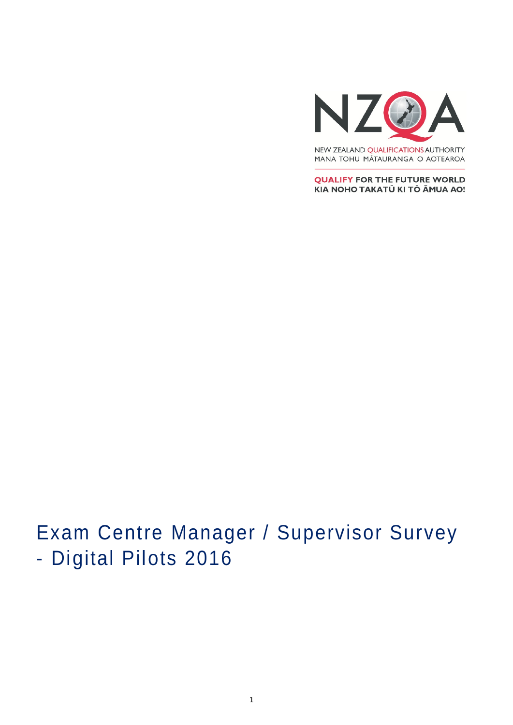

MANA TOHU MĀTAURANGA O AOTEAROA

**QUALIFY FOR THE FUTURE WORLD** KIA NOHO TAKATŪ KI TŌ ĀMUA AO!

# Exam Centre Manager / Supervisor Survey - Digital Pilots 2016

1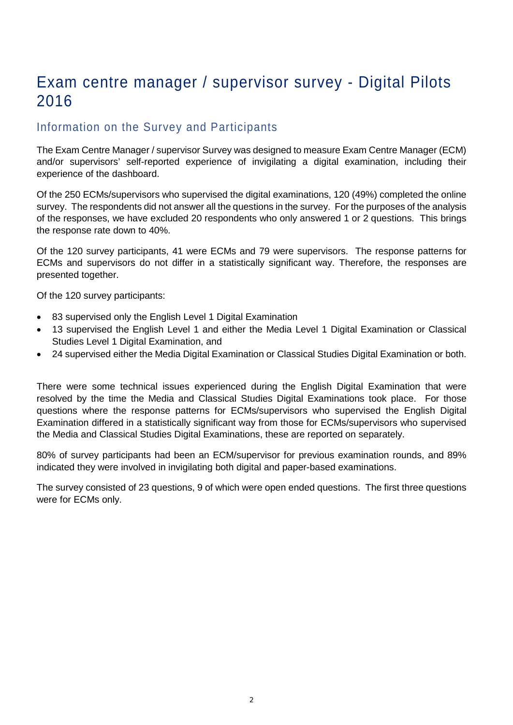# Exam centre manager / supervisor survey - Digital Pilots 2016

# Information on the Survey and Participants

The Exam Centre Manager / supervisor Survey was designed to measure Exam Centre Manager (ECM) and/or supervisors' self-reported experience of invigilating a digital examination, including their experience of the dashboard.

Of the 250 ECMs/supervisors who supervised the digital examinations, 120 (49%) completed the online survey. The respondents did not answer all the questions in the survey. For the purposes of the analysis of the responses, we have excluded 20 respondents who only answered 1 or 2 questions. This brings the response rate down to 40%.

Of the 120 survey participants, 41 were ECMs and 79 were supervisors. The response patterns for ECMs and supervisors do not differ in a statistically significant way. Therefore, the responses are presented together.

Of the 120 survey participants:

- 83 supervised only the English Level 1 Digital Examination
- 13 supervised the English Level 1 and either the Media Level 1 Digital Examination or Classical Studies Level 1 Digital Examination, and
- 24 supervised either the Media Digital Examination or Classical Studies Digital Examination or both.

There were some technical issues experienced during the English Digital Examination that were resolved by the time the Media and Classical Studies Digital Examinations took place. For those questions where the response patterns for ECMs/supervisors who supervised the English Digital Examination differed in a statistically significant way from those for ECMs/supervisors who supervised the Media and Classical Studies Digital Examinations, these are reported on separately.

80% of survey participants had been an ECM/supervisor for previous examination rounds, and 89% indicated they were involved in invigilating both digital and paper-based examinations.

The survey consisted of 23 questions, 9 of which were open ended questions. The first three questions were for ECMs only.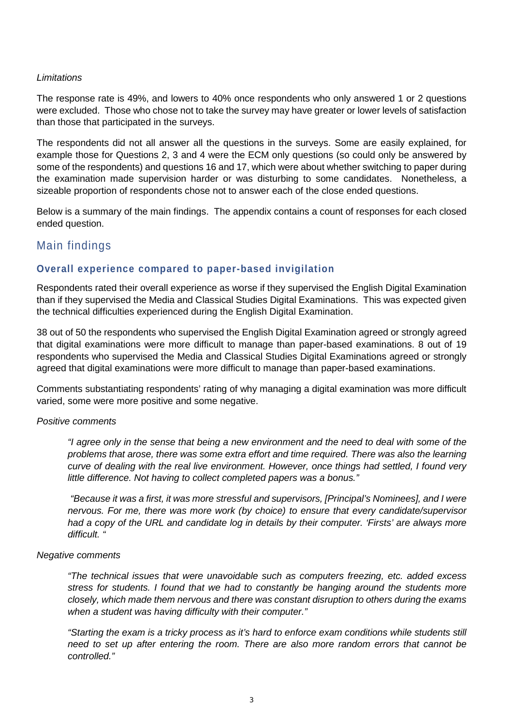#### *Limitations*

The response rate is 49%, and lowers to 40% once respondents who only answered 1 or 2 questions were excluded. Those who chose not to take the survey may have greater or lower levels of satisfaction than those that participated in the surveys.

The respondents did not all answer all the questions in the surveys. Some are easily explained, for example those for Questions 2, 3 and 4 were the ECM only questions (so could only be answered by some of the respondents) and questions 16 and 17, which were about whether switching to paper during the examination made supervision harder or was disturbing to some candidates. Nonetheless, a sizeable proportion of respondents chose not to answer each of the close ended questions.

Below is a summary of the main findings. The appendix contains a count of responses for each closed ended question.

# Main findings

#### **Overall experience compared to paper-based invigilation**

Respondents rated their overall experience as worse if they supervised the English Digital Examination than if they supervised the Media and Classical Studies Digital Examinations. This was expected given the technical difficulties experienced during the English Digital Examination.

38 out of 50 the respondents who supervised the English Digital Examination agreed or strongly agreed that digital examinations were more difficult to manage than paper-based examinations. 8 out of 19 respondents who supervised the Media and Classical Studies Digital Examinations agreed or strongly agreed that digital examinations were more difficult to manage than paper-based examinations.

Comments substantiating respondents' rating of why managing a digital examination was more difficult varied, some were more positive and some negative.

#### *Positive comments*

*"I agree only in the sense that being a new environment and the need to deal with some of the problems that arose, there was some extra effort and time required. There was also the learning curve of dealing with the real live environment. However, once things had settled, I found very little difference. Not having to collect completed papers was a bonus."*

*"Because it was a first, it was more stressful and supervisors, [Principal's Nominees], and I were nervous. For me, there was more work (by choice) to ensure that every candidate/supervisor had a copy of the URL and candidate log in details by their computer. 'Firsts' are always more difficult. "*

#### *Negative comments*

*"The technical issues that were unavoidable such as computers freezing, etc. added excess stress for students. I found that we had to constantly be hanging around the students more closely, which made them nervous and there was constant disruption to others during the exams when a student was having difficulty with their computer."*

*"Starting the exam is a tricky process as it's hard to enforce exam conditions while students still need to set up after entering the room. There are also more random errors that cannot be controlled."*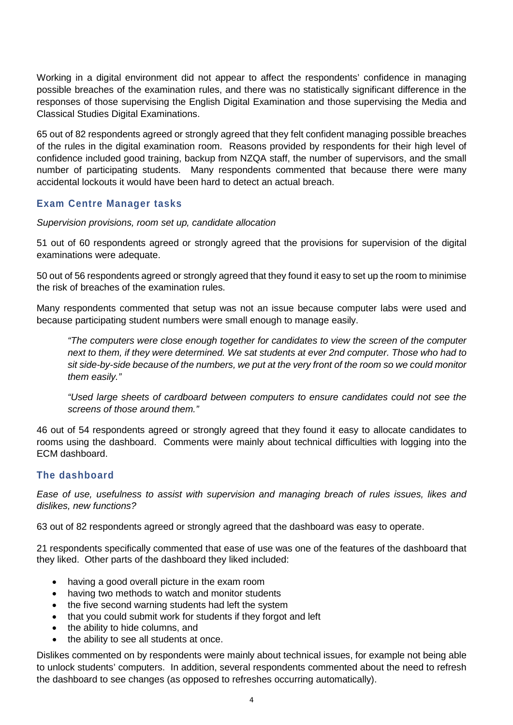Working in a digital environment did not appear to affect the respondents' confidence in managing possible breaches of the examination rules, and there was no statistically significant difference in the responses of those supervising the English Digital Examination and those supervising the Media and Classical Studies Digital Examinations.

65 out of 82 respondents agreed or strongly agreed that they felt confident managing possible breaches of the rules in the digital examination room. Reasons provided by respondents for their high level of confidence included good training, backup from NZQA staff, the number of supervisors, and the small number of participating students. Many respondents commented that because there were many accidental lockouts it would have been hard to detect an actual breach.

## **Exam Centre Manager tasks**

*Supervision provisions, room set up, candidate allocation* 

51 out of 60 respondents agreed or strongly agreed that the provisions for supervision of the digital examinations were adequate.

50 out of 56 respondents agreed or strongly agreed that they found it easy to set up the room to minimise the risk of breaches of the examination rules.

Many respondents commented that setup was not an issue because computer labs were used and because participating student numbers were small enough to manage easily.

*"The computers were close enough together for candidates to view the screen of the computer next to them, if they were determined. We sat students at ever 2nd computer. Those who had to sit side-by-side because of the numbers, we put at the very front of the room so we could monitor them easily."*

*"Used large sheets of cardboard between computers to ensure candidates could not see the screens of those around them."*

46 out of 54 respondents agreed or strongly agreed that they found it easy to allocate candidates to rooms using the dashboard. Comments were mainly about technical difficulties with logging into the ECM dashboard.

#### **The dashboard**

*Ease of use, usefulness to assist with supervision and managing breach of rules issues, likes and dislikes, new functions?*

63 out of 82 respondents agreed or strongly agreed that the dashboard was easy to operate.

21 respondents specifically commented that ease of use was one of the features of the dashboard that they liked. Other parts of the dashboard they liked included:

- having a good overall picture in the exam room
- having two methods to watch and monitor students
- the five second warning students had left the system
- that you could submit work for students if they forgot and left
- the ability to hide columns, and
- the ability to see all students at once.

Dislikes commented on by respondents were mainly about technical issues, for example not being able to unlock students' computers. In addition, several respondents commented about the need to refresh the dashboard to see changes (as opposed to refreshes occurring automatically).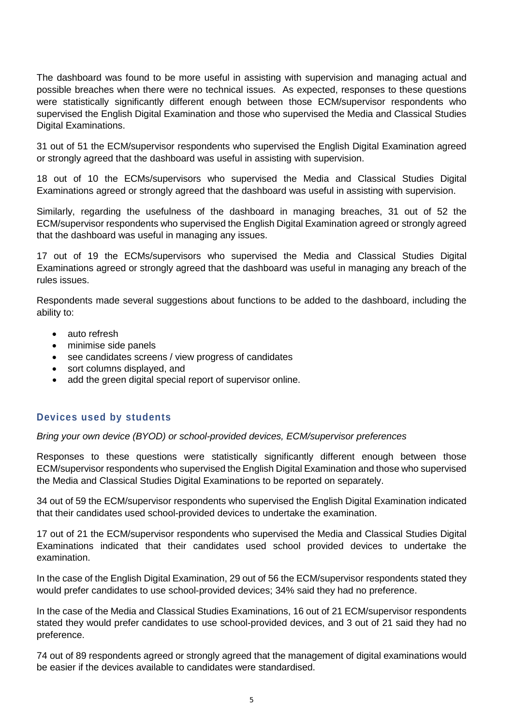The dashboard was found to be more useful in assisting with supervision and managing actual and possible breaches when there were no technical issues. As expected, responses to these questions were statistically significantly different enough between those ECM/supervisor respondents who supervised the English Digital Examination and those who supervised the Media and Classical Studies Digital Examinations.

31 out of 51 the ECM/supervisor respondents who supervised the English Digital Examination agreed or strongly agreed that the dashboard was useful in assisting with supervision.

18 out of 10 the ECMs/supervisors who supervised the Media and Classical Studies Digital Examinations agreed or strongly agreed that the dashboard was useful in assisting with supervision.

Similarly, regarding the usefulness of the dashboard in managing breaches, 31 out of 52 the ECM/supervisor respondents who supervised the English Digital Examination agreed or strongly agreed that the dashboard was useful in managing any issues.

17 out of 19 the ECMs/supervisors who supervised the Media and Classical Studies Digital Examinations agreed or strongly agreed that the dashboard was useful in managing any breach of the rules issues.

Respondents made several suggestions about functions to be added to the dashboard, including the ability to:

- auto refresh
- minimise side panels
- see candidates screens / view progress of candidates
- sort columns displayed, and
- add the green digital special report of supervisor online.

#### **Devices used by students**

*Bring your own device (BYOD) or school-provided devices, ECM/supervisor preferences*

Responses to these questions were statistically significantly different enough between those ECM/supervisor respondents who supervised the English Digital Examination and those who supervised the Media and Classical Studies Digital Examinations to be reported on separately.

34 out of 59 the ECM/supervisor respondents who supervised the English Digital Examination indicated that their candidates used school-provided devices to undertake the examination.

17 out of 21 the ECM/supervisor respondents who supervised the Media and Classical Studies Digital Examinations indicated that their candidates used school provided devices to undertake the examination.

In the case of the English Digital Examination, 29 out of 56 the ECM/supervisor respondents stated they would prefer candidates to use school-provided devices; 34% said they had no preference.

In the case of the Media and Classical Studies Examinations, 16 out of 21 ECM/supervisor respondents stated they would prefer candidates to use school-provided devices, and 3 out of 21 said they had no preference.

74 out of 89 respondents agreed or strongly agreed that the management of digital examinations would be easier if the devices available to candidates were standardised.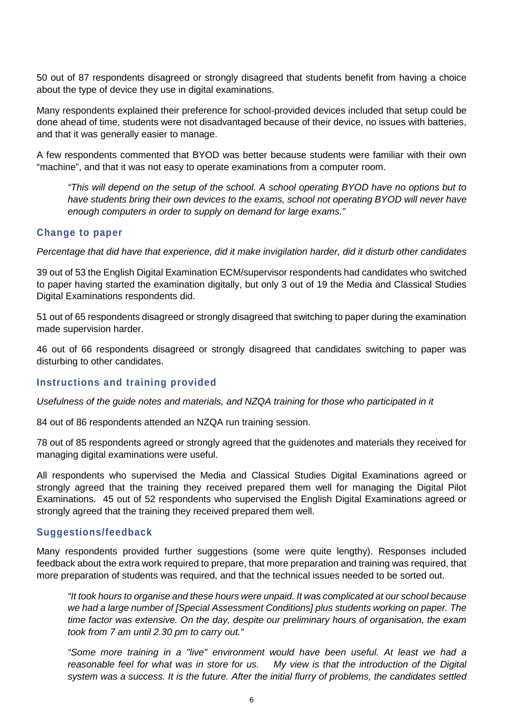50 out of 87 respondents disagreed or strongly disagreed that students benefit from having a choice about the type of device they use in digital examinations.

Many respondents explained their preference for school-provided devices included that setup could be done ahead of time, students were not disadvantaged because of their device, no issues with batteries, and that it was generally easier to manage.

A few respondents commented that BYOD was better because students were familiar with their own "machine", and that it was not easy to operate examinations from a computer room.

*"This will depend on the setup of the school. A school operating BYOD have no options but to have students bring their own devices to the exams, school not operating BYOD will never have enough computers in order to supply on demand for large exams."*

#### **Change to paper**

*Percentage that did have that experience, did it make invigilation harder, did it disturb other candidates*

39 out of 53 the English Digital Examination ECM/supervisor respondents had candidates who switched to paper having started the examination digitally, but only 3 out of 19 the Media and Classical Studies Digital Examinations respondents did.

51 out of 65 respondents disagreed or strongly disagreed that switching to paper during the examination made supervision harder.

46 out of 66 respondents disagreed or strongly disagreed that candidates switching to paper was disturbing to other candidates.

#### **Instructions and training provided**

*Usefulness of the guide notes and materials, and NZQA training for those who participated in it*

84 out of 86 respondents attended an NZQA run training session.

78 out of 85 respondents agreed or strongly agreed that the guidenotes and materials they received for managing digital examinations were useful.

All respondents who supervised the Media and Classical Studies Digital Examinations agreed or strongly agreed that the training they received prepared them well for managing the Digital Pilot Examinations. 45 out of 52 respondents who supervised the English Digital Examinations agreed or strongly agreed that the training they received prepared them well.

#### **Suggestions/feedback**

Many respondents provided further suggestions (some were quite lengthy). Responses included feedback about the extra work required to prepare, that more preparation and training was required, that more preparation of students was required, and that the technical issues needed to be sorted out.

*"It took hours to organise and these hours were unpaid. It was complicated at our school because we had a large number of [Special Assessment Conditions] plus students working on paper. The time factor was extensive. On the day, despite our preliminary hours of organisation, the exam took from 7 am until 2.30 pm to carry out."*

*"Some more training in a "live" environment would have been useful. At least we had a reasonable feel for what was in store for us. My view is that the introduction of the Digital system was a success. It is the future. After the initial flurry of problems, the candidates settled*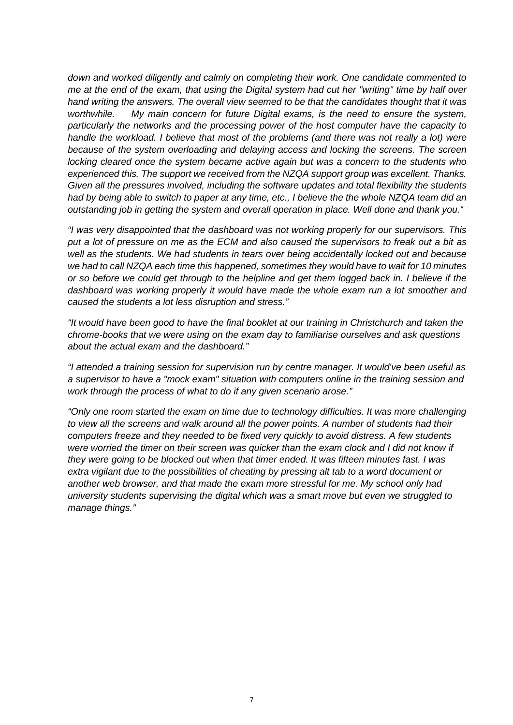*down and worked diligently and calmly on completing their work. One candidate commented to me at the end of the exam, that using the Digital system had cut her "writing" time by half over hand writing the answers. The overall view seemed to be that the candidates thought that it was worthwhile. My main concern for future Digital exams, is the need to ensure the system, particularly the networks and the processing power of the host computer have the capacity to handle the workload. I believe that most of the problems (and there was not really a lot) were because of the system overloading and delaying access and locking the screens. The screen locking cleared once the system became active again but was a concern to the students who experienced this. The support we received from the NZQA support group was excellent. Thanks. Given all the pressures involved, including the software updates and total flexibility the students had by being able to switch to paper at any time, etc., I believe the the whole NZQA team did an outstanding job in getting the system and overall operation in place. Well done and thank you."*

*"I was very disappointed that the dashboard was not working properly for our supervisors. This put a lot of pressure on me as the ECM and also caused the supervisors to freak out a bit as well as the students. We had students in tears over being accidentally locked out and because we had to call NZQA each time this happened, sometimes they would have to wait for 10 minutes or so before we could get through to the helpline and get them logged back in. I believe if the dashboard was working properly it would have made the whole exam run a lot smoother and caused the students a lot less disruption and stress."*

*"It would have been good to have the final booklet at our training in Christchurch and taken the chrome-books that we were using on the exam day to familiarise ourselves and ask questions about the actual exam and the dashboard."* 

*"I attended a training session for supervision run by centre manager. It would've been useful as a supervisor to have a "mock exam" situation with computers online in the training session and work through the process of what to do if any given scenario arose."*

*"Only one room started the exam on time due to technology difficulties. It was more challenging to view all the screens and walk around all the power points. A number of students had their computers freeze and they needed to be fixed very quickly to avoid distress. A few students*  were worried the timer on their screen was quicker than the exam clock and I did not know if *they were going to be blocked out when that timer ended. It was fifteen minutes fast. I was extra vigilant due to the possibilities of cheating by pressing alt tab to a word document or another web browser, and that made the exam more stressful for me. My school only had university students supervising the digital which was a smart move but even we struggled to manage things."*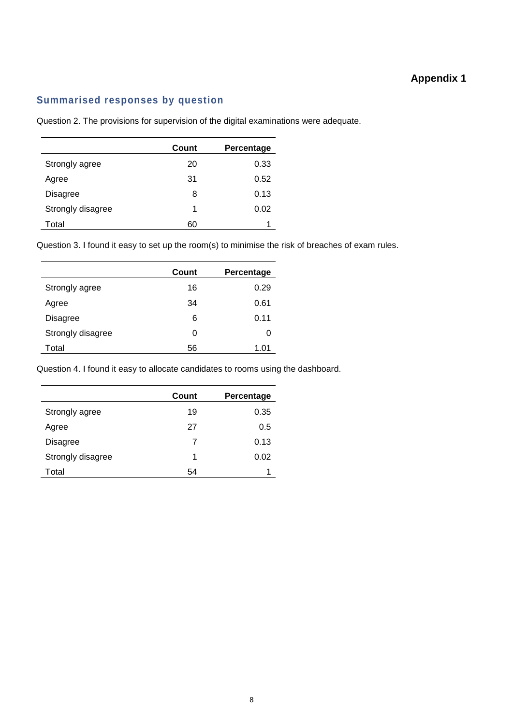# **Appendix 1**

### **Summarised responses by question**

Question 2. The provisions for supervision of the digital examinations were adequate.

|                   | Count | Percentage |
|-------------------|-------|------------|
| Strongly agree    | 20    | 0.33       |
| Agree             | 31    | 0.52       |
| Disagree          | 8     | 0.13       |
| Strongly disagree | 1     | 0.02       |
| Total             | 60    |            |

Question 3. I found it easy to set up the room(s) to minimise the risk of breaches of exam rules.

|                   | Count | Percentage |
|-------------------|-------|------------|
| Strongly agree    | 16    | 0.29       |
| Agree             | 34    | 0.61       |
| Disagree          | 6     | 0.11       |
| Strongly disagree | 0     | O          |
| Total             | 56    | 1.01       |

Question 4. I found it easy to allocate candidates to rooms using the dashboard.

|                   | Count | Percentage |
|-------------------|-------|------------|
| Strongly agree    | 19    | 0.35       |
| Agree             | 27    | 0.5        |
| <b>Disagree</b>   | 7     | 0.13       |
| Strongly disagree | 1     | 0.02       |
| Total             | 54    |            |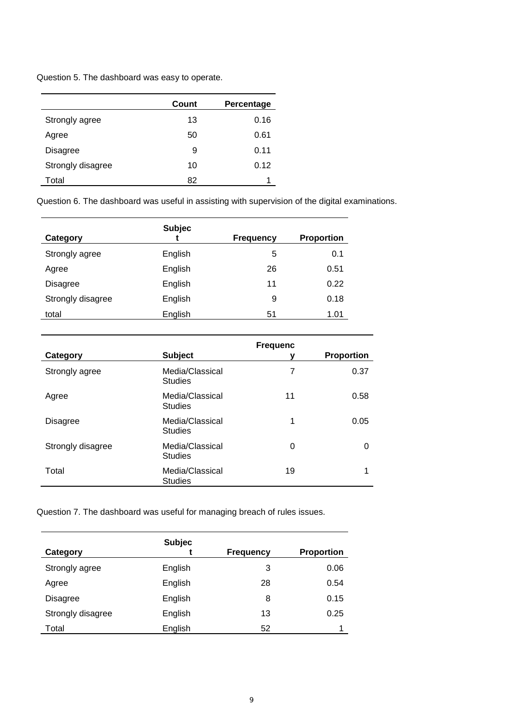Question 5. The dashboard was easy to operate.

|                   | Count | Percentage |
|-------------------|-------|------------|
| Strongly agree    | 13    | 0.16       |
| Agree             | 50    | 0.61       |
| <b>Disagree</b>   | 9     | 0.11       |
| Strongly disagree | 10    | 0.12       |
| Total             | 82    |            |

Question 6. The dashboard was useful in assisting with supervision of the digital examinations.

| Category          | <b>Subjec</b> | <b>Frequency</b> | <b>Proportion</b> |
|-------------------|---------------|------------------|-------------------|
| Strongly agree    | English       | 5                | 0.1               |
| Agree             | English       | 26               | 0.51              |
| <b>Disagree</b>   | English       | 11               | 0.22              |
| Strongly disagree | English       | 9                | 0.18              |
| total             | English       | 51               | 1.01              |

| Category          | <b>Subject</b>                    | <b>Frequenc</b><br>ν | <b>Proportion</b> |
|-------------------|-----------------------------------|----------------------|-------------------|
| Strongly agree    | Media/Classical<br><b>Studies</b> | 7                    | 0.37              |
| Agree             | Media/Classical<br><b>Studies</b> | 11                   | 0.58              |
| <b>Disagree</b>   | Media/Classical<br><b>Studies</b> | 1                    | 0.05              |
| Strongly disagree | Media/Classical<br><b>Studies</b> | 0                    | 0                 |
| Total             | Media/Classical<br><b>Studies</b> | 19                   | 1                 |

Question 7. The dashboard was useful for managing breach of rules issues.

| Category          | <b>Subjec</b> | <b>Frequency</b> | <b>Proportion</b> |
|-------------------|---------------|------------------|-------------------|
| Strongly agree    | English       | 3                | 0.06              |
| Agree             | English       | 28               | 0.54              |
| <b>Disagree</b>   | English       | 8                | 0.15              |
| Strongly disagree | English       | 13               | 0.25              |
| Total             | English       | 52               | 1                 |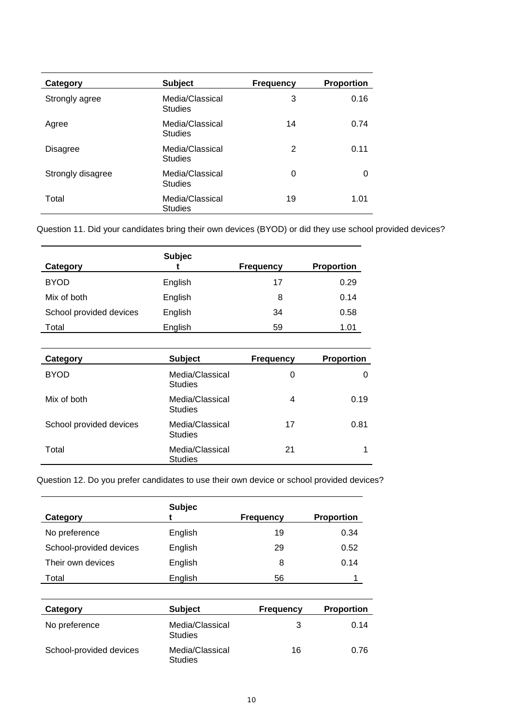| Category          | <b>Subject</b>                    | <b>Frequency</b> | <b>Proportion</b> |
|-------------------|-----------------------------------|------------------|-------------------|
| Strongly agree    | Media/Classical<br><b>Studies</b> | 3                | 0.16              |
| Agree             | Media/Classical<br><b>Studies</b> | 14               | 0.74              |
| <b>Disagree</b>   | Media/Classical<br><b>Studies</b> | $\overline{2}$   | 0.11              |
| Strongly disagree | Media/Classical<br><b>Studies</b> | 0                | $\Omega$          |
| Total             | Media/Classical<br><b>Studies</b> | 19               | 1.01              |

Question 11. Did your candidates bring their own devices (BYOD) or did they use school provided devices?

|                         | <b>Subjec</b> |                  |                   |
|-------------------------|---------------|------------------|-------------------|
| Category                |               | <b>Frequency</b> | <b>Proportion</b> |
| <b>BYOD</b>             | English       | 17               | 0.29              |
| Mix of both             | English       | 8                | 0.14              |
| School provided devices | English       | 34               | 0.58              |
| Total                   | English       | 59               | 1.01              |

| Category                | <b>Subject</b>                    | <b>Frequency</b> | <b>Proportion</b> |
|-------------------------|-----------------------------------|------------------|-------------------|
| <b>BYOD</b>             | Media/Classical<br><b>Studies</b> | 0                | 0                 |
| Mix of both             | Media/Classical<br><b>Studies</b> | 4                | 0.19              |
| School provided devices | Media/Classical<br><b>Studies</b> | 17               | 0.81              |
| Total                   | Media/Classical<br><b>Studies</b> | 21               |                   |

Question 12. Do you prefer candidates to use their own device or school provided devices?

|                         | <b>Subjec</b> |                  |                   |
|-------------------------|---------------|------------------|-------------------|
| Category                |               | <b>Frequency</b> | <b>Proportion</b> |
| No preference           | English       | 19               | 0.34              |
| School-provided devices | English       | 29               | 0.52              |
| Their own devices       | English       | 8                | 0.14              |
| Total                   | English       | 56               |                   |

| Category                | <b>Subject</b>                    | <b>Frequency</b> | <b>Proportion</b> |
|-------------------------|-----------------------------------|------------------|-------------------|
| No preference           | Media/Classical<br><b>Studies</b> | 3                | 0.14              |
| School-provided devices | Media/Classical<br><b>Studies</b> | 16               | 0.76              |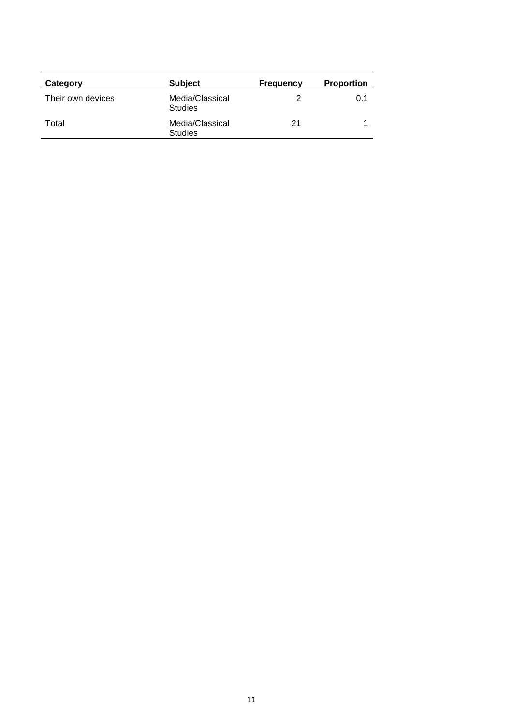| Category          | <b>Subject</b>                    | <b>Frequency</b> | <b>Proportion</b> |
|-------------------|-----------------------------------|------------------|-------------------|
| Their own devices | Media/Classical<br><b>Studies</b> |                  | 0.1               |
| Total             | Media/Classical<br><b>Studies</b> | 21               |                   |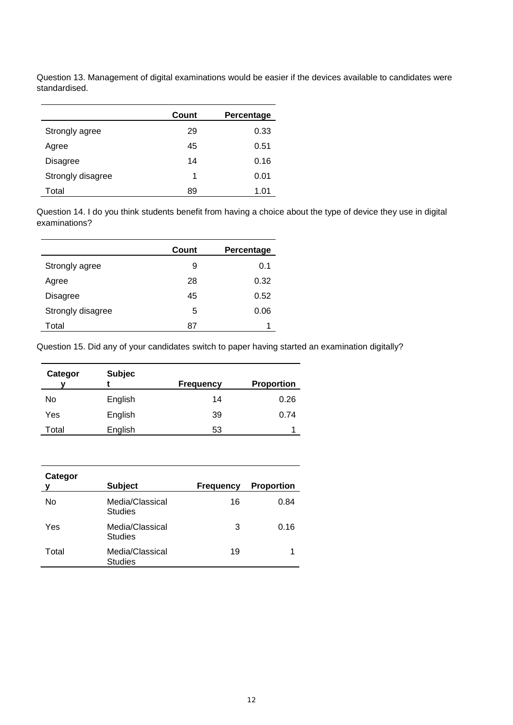Question 13. Management of digital examinations would be easier if the devices available to candidates were standardised.

|                   | Count | Percentage |
|-------------------|-------|------------|
| Strongly agree    | 29    | 0.33       |
| Agree             | 45    | 0.51       |
| Disagree          | 14    | 0.16       |
| Strongly disagree | 1     | 0.01       |
| Total             | 89    | 1.01       |

Question 14. I do you think students benefit from having a choice about the type of device they use in digital examinations?

|                   | Count | Percentage |
|-------------------|-------|------------|
| Strongly agree    | 9     | 0.1        |
| Agree             | 28    | 0.32       |
| Disagree          | 45    | 0.52       |
| Strongly disagree | 5     | 0.06       |
| Total             | 87    |            |

Question 15. Did any of your candidates switch to paper having started an examination digitally?

| Categor | <b>Subjec</b> | <b>Frequency</b> | <b>Proportion</b> |
|---------|---------------|------------------|-------------------|
| No      | English       | 14               | 0.26              |
|         |               |                  |                   |
| Yes     | English       | 39               | 0.74              |
| Total   | English       | 53               |                   |

| Categor<br>ν | <b>Subject</b>                    | <b>Frequency</b> | <b>Proportion</b> |
|--------------|-----------------------------------|------------------|-------------------|
| No           | Media/Classical<br><b>Studies</b> | 16               | 0.84              |
| Yes          | Media/Classical<br><b>Studies</b> | 3                | 0.16              |
| Total        | Media/Classical<br><b>Studies</b> | 19               | 1                 |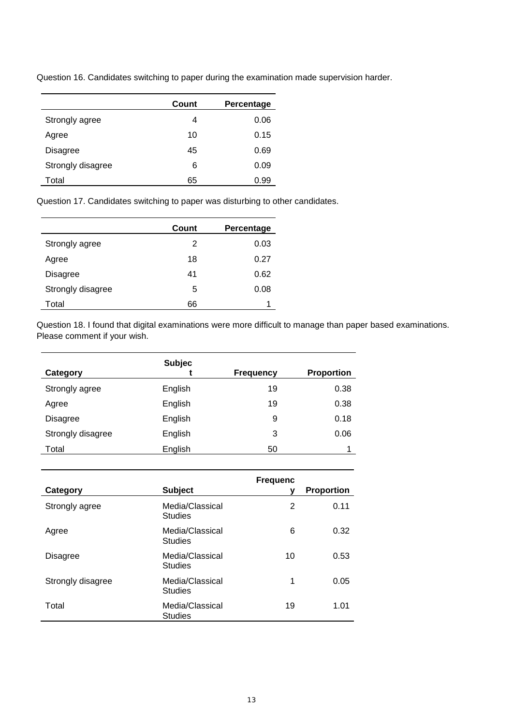Question 16. Candidates switching to paper during the examination made supervision harder.

|                   | Count | Percentage |
|-------------------|-------|------------|
| Strongly agree    | 4     | 0.06       |
| Agree             | 10    | 0.15       |
| Disagree          | 45    | 0.69       |
| Strongly disagree | 6     | 0.09       |
| Total             | 65    | 0.99       |

Question 17. Candidates switching to paper was disturbing to other candidates.

|                   | Count | Percentage |
|-------------------|-------|------------|
| Strongly agree    | 2     | 0.03       |
| Agree             | 18    | 0.27       |
| Disagree          | 41    | 0.62       |
| Strongly disagree | 5     | 0.08       |
| Total             | 66    |            |

Question 18. I found that digital examinations were more difficult to manage than paper based examinations. Please comment if your wish.

| Category          | <b>Subjec</b> | <b>Frequency</b> | <b>Proportion</b> |
|-------------------|---------------|------------------|-------------------|
| Strongly agree    | English       | 19               | 0.38              |
| Agree             | English       | 19               | 0.38              |
| Disagree          | English       | 9                | 0.18              |
| Strongly disagree | English       | 3                | 0.06              |
| Total             | English       | 50               |                   |

| Category          | <b>Subject</b>                    | <b>Frequenc</b> | <b>Proportion</b> |
|-------------------|-----------------------------------|-----------------|-------------------|
| Strongly agree    | Media/Classical<br><b>Studies</b> | 2               | 0.11              |
| Agree             | Media/Classical<br><b>Studies</b> | 6               | 0.32              |
| <b>Disagree</b>   | Media/Classical<br><b>Studies</b> | 10              | 0.53              |
| Strongly disagree | Media/Classical<br><b>Studies</b> | 1               | 0.05              |
| Total             | Media/Classical<br><b>Studies</b> | 19              | 1.01              |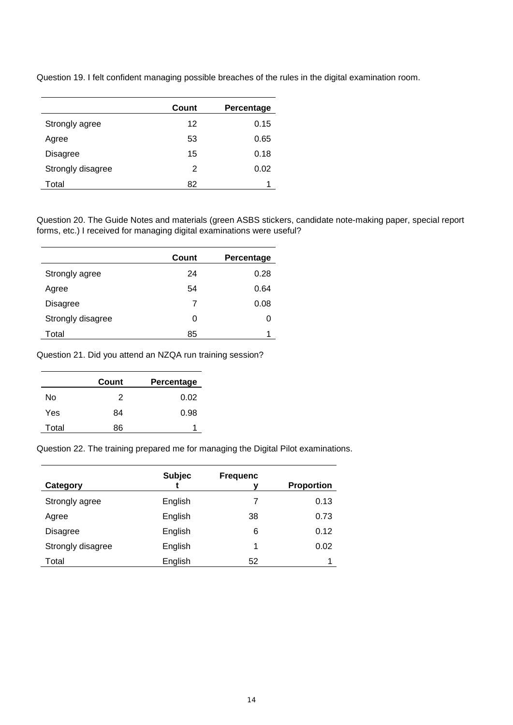Question 19. I felt confident managing possible breaches of the rules in the digital examination room.

|                   | Count | Percentage |
|-------------------|-------|------------|
| Strongly agree    | 12    | 0.15       |
| Agree             | 53    | 0.65       |
| <b>Disagree</b>   | 15    | 0.18       |
| Strongly disagree | 2     | 0.02       |
| Total             | 82    |            |

Question 20. The Guide Notes and materials (green ASBS stickers, candidate note-making paper, special report forms, etc.) I received for managing digital examinations were useful?

|                   | Count | Percentage |
|-------------------|-------|------------|
| Strongly agree    | 24    | 0.28       |
| Agree             | 54    | 0.64       |
| Disagree          | 7     | 0.08       |
| Strongly disagree | 0     | O          |
| Total             | 85    |            |

Question 21. Did you attend an NZQA run training session?

|       | Count | Percentage |
|-------|-------|------------|
| N٥    | 2     | 0.02       |
| Yes   | 84    | 0.98       |
| Total | 86    |            |

Question 22. The training prepared me for managing the Digital Pilot examinations.

| Category          | <b>Subjec</b> | <b>Frequenc</b> | <b>Proportion</b> |
|-------------------|---------------|-----------------|-------------------|
| Strongly agree    | English       |                 | 0.13              |
| Agree             | English       | 38              | 0.73              |
| Disagree          | English       | 6               | 0.12              |
| Strongly disagree | English       | 1               | 0.02              |
| Total             | English       | 52              |                   |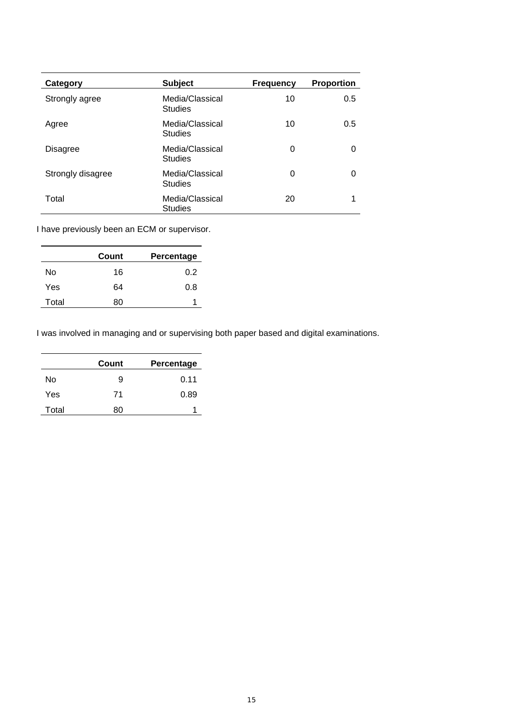| Category          | <b>Subject</b>                    | <b>Frequency</b> | <b>Proportion</b> |
|-------------------|-----------------------------------|------------------|-------------------|
| Strongly agree    | Media/Classical<br><b>Studies</b> | 10               | 0.5               |
| Agree             | Media/Classical<br><b>Studies</b> | 10               | 0.5               |
| <b>Disagree</b>   | Media/Classical<br><b>Studies</b> | 0                | 0                 |
| Strongly disagree | Media/Classical<br><b>Studies</b> | 0                | $\Omega$          |
| Total             | Media/Classical<br><b>Studies</b> | 20               |                   |

I have previously been an ECM or supervisor.

|       | Count | Percentage |
|-------|-------|------------|
| No    | 16    | 0.2        |
| Yes   | 64    | 0.8        |
| Total | ጸበ    |            |

I was involved in managing and or supervising both paper based and digital examinations.

|       | Count | Percentage |
|-------|-------|------------|
| No    | 9     | 0.11       |
| Yes   | 71    | 0.89       |
| Total | ጸበ    |            |